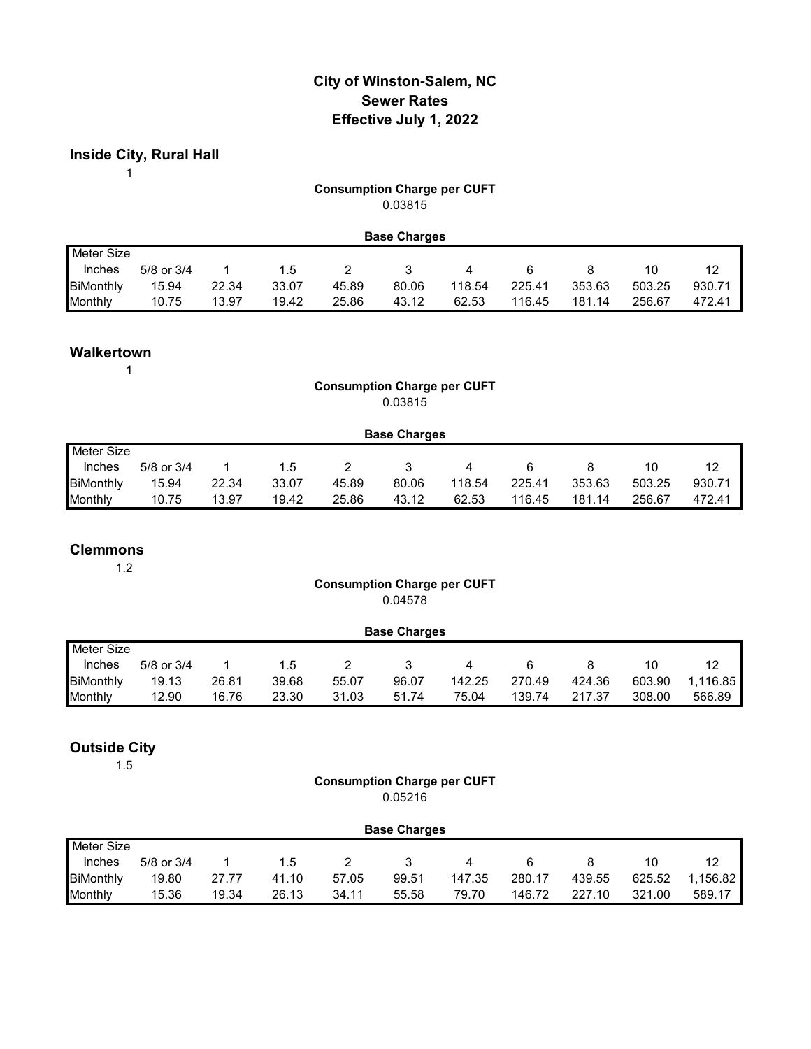# **City of Winston-Salem, NC Sewer Rates Effective July 1, 2022**

**Inside City, Rural Hall**

1

#### **Consumption Charge per CUFT** 0.03815

|                  |                |       |       |       | <b>Base Charges</b> |        |        |        |        |        |
|------------------|----------------|-------|-------|-------|---------------------|--------|--------|--------|--------|--------|
| Meter Size       |                |       |       |       |                     |        |        |        |        |        |
| Inches           | $5/8$ or $3/4$ |       | 1.5   |       |                     | 4      | 6      |        |        | 12     |
| <b>BiMonthly</b> | 15.94          | 22.34 | 33.07 | 45.89 | 80.06               | 118.54 | 225.41 | 353.63 | 503.25 | 930.71 |
| Monthly          | 10.75          | 13.97 | 19.42 | 25.86 | 43.12               | 62.53  | 116.45 | 181.14 | 256.67 | 472.41 |

## **Walkertown**

1

## **Consumption Charge per CUFT** 0.03815

|                   | <b>Base Charges</b> |       |       |       |       |        |        |        |        |        |  |  |  |
|-------------------|---------------------|-------|-------|-------|-------|--------|--------|--------|--------|--------|--|--|--|
| <b>Meter Size</b> |                     |       |       |       |       |        |        |        |        |        |  |  |  |
| Inches            | 5/8 or 3/4          |       | 1.5   |       |       | 4      |        |        | 10     | 12     |  |  |  |
| <b>BiMonthly</b>  | 15.94               | 22.34 | 33.07 | 45.89 | 80.06 | 118.54 | 225.41 | 353.63 | 503.25 | 930.71 |  |  |  |
| Monthly           | 10.75               | 13.97 | 19.42 | 25.86 | 43.12 | 62.53  | 116.45 | 181.14 | 256.67 | 472.41 |  |  |  |

#### **Clemmons**

1.2

#### **Consumption Charge per CUFT** 0.04578

|                  | <b>Base Charges</b> |       |       |       |       |        |        |        |        |          |  |  |  |
|------------------|---------------------|-------|-------|-------|-------|--------|--------|--------|--------|----------|--|--|--|
| Meter Size       |                     |       |       |       |       |        |        |        |        |          |  |  |  |
| Inches           | 5/8 or 3/4          |       | 1.5   |       |       | 4      |        |        | 10     | 12       |  |  |  |
| <b>BiMonthly</b> | 19.13               | 26.81 | 39.68 | 55.07 | 96.07 | 142.25 | 270.49 | 424.36 | 603.90 | 1.116.85 |  |  |  |
| Monthly          | 12.90               | 16.76 | 23.30 | 31.03 | 51.74 | 75.04  | 139.74 | 217.37 | 308.00 | 566.89   |  |  |  |

## **Outside City**

1.5

#### **Consumption Charge per CUFT** 0.05216

|                  | <b>Base Charges</b> |       |       |       |       |        |        |        |        |          |  |  |  |
|------------------|---------------------|-------|-------|-------|-------|--------|--------|--------|--------|----------|--|--|--|
| Meter Size       |                     |       |       |       |       |        |        |        |        |          |  |  |  |
| Inches           | 5/8 or 3/4          |       | 1.5   |       |       | 4      |        |        |        | 12       |  |  |  |
| <b>BiMonthly</b> | 19.80               | 27.77 | 41.10 | 57.05 | 99.51 | 147.35 | 280.17 | 439.55 | 625.52 | 1.156.82 |  |  |  |
| Monthly          | 15.36               | 19.34 | 26.13 | 34.11 | 55.58 | 79.70  | 146.72 | 227.10 | 321.00 | 589.17   |  |  |  |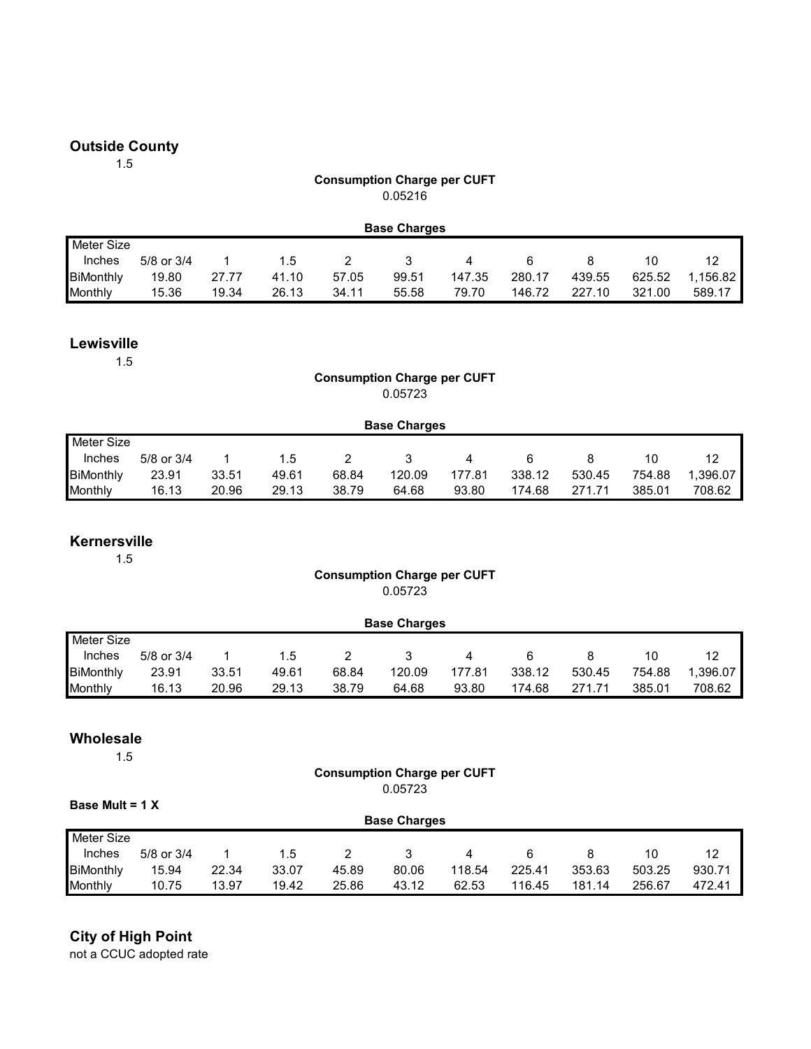## **Outside County**

1.5

#### **Consumption Charge per CUFT** 0.05216

|                  | <b>Base Charges</b> |       |       |       |       |        |        |        |        |          |  |  |  |
|------------------|---------------------|-------|-------|-------|-------|--------|--------|--------|--------|----------|--|--|--|
| Meter Size       |                     |       |       |       |       |        |        |        |        |          |  |  |  |
| Inches           | 5/8 or 3/4          |       | 1.5   |       |       | 4      |        |        |        | 12       |  |  |  |
| <b>BiMonthly</b> | 19.80               | 27.77 | 41.10 | 57.05 | 99.51 | 147.35 | 280.17 | 439.55 | 625.52 | 1.156.82 |  |  |  |
| Monthly          | 15.36               | 19.34 | 26.13 | 34.11 | 55.58 | 79.70  | 146.72 | 227.10 | 321.00 | 589.17   |  |  |  |

#### **Lewisville**

1.5

## **Consumption Charge per CUFT** 0.05723

|                  | <b>Base Charges</b> |       |       |       |        |        |        |        |        |          |  |  |  |
|------------------|---------------------|-------|-------|-------|--------|--------|--------|--------|--------|----------|--|--|--|
| Meter Size       |                     |       |       |       |        |        |        |        |        |          |  |  |  |
| Inches           | $5/8$ or $3/4$      |       | 1.5   |       |        | 4      | 6      |        |        | 12       |  |  |  |
| <b>BiMonthly</b> | 23.91               | 33.51 | 49.61 | 68.84 | 120.09 | 177.81 | 338.12 | 530.45 | 754.88 | 1.396.07 |  |  |  |
| Monthly          | 16.13               | 20.96 | 29.13 | 38.79 | 64.68  | 93.80  | 174.68 | 271.71 | 385.01 | 708.62   |  |  |  |

#### **Kernersville**

1.5

#### **Consumption Charge per CUFT** 0.05723

|                  | <b>Base Charges</b> |       |       |       |        |        |        |        |        |         |  |  |  |
|------------------|---------------------|-------|-------|-------|--------|--------|--------|--------|--------|---------|--|--|--|
| Meter Size       |                     |       |       |       |        |        |        |        |        |         |  |  |  |
| Inches           | $5/8$ or $3/4$      |       | 1.5   |       |        |        |        |        | 10     | 12      |  |  |  |
| <b>BiMonthly</b> | 23.91               | 33.51 | 49.61 | 68.84 | 120.09 | 177.81 | 338.12 | 530.45 | 754.88 | .396.07 |  |  |  |
| Monthly          | 16.13               | 20.96 | 29.13 | 38.79 | 64.68  | 93.80  | 174.68 | 271.71 | 385.01 | 708.62  |  |  |  |

#### **Wholesale**

1.5

#### **Consumption Charge per CUFT** 0.05723

|                  | Base Mult = $1 X$ |       |       |       |                     |        |        |        |        |        |  |  |  |  |
|------------------|-------------------|-------|-------|-------|---------------------|--------|--------|--------|--------|--------|--|--|--|--|
|                  |                   |       |       |       | <b>Base Charges</b> |        |        |        |        |        |  |  |  |  |
| Meter Size       |                   |       |       |       |                     |        |        |        |        |        |  |  |  |  |
| <b>Inches</b>    | 5/8 or 3/4        |       | 1.5   |       |                     | 4      | 6      |        | 10     | 12     |  |  |  |  |
| <b>BiMonthly</b> | 15.94             | 22.34 | 33.07 | 45.89 | 80.06               | 118.54 | 225.41 | 353.63 | 503.25 | 930.71 |  |  |  |  |
| Monthly          | 10.75             | 13.97 | 19.42 | 25.86 | 43.12               | 62.53  | 116.45 | 181.14 | 256.67 | 472.41 |  |  |  |  |

# **City of High Point**

not a CCUC adopted rate